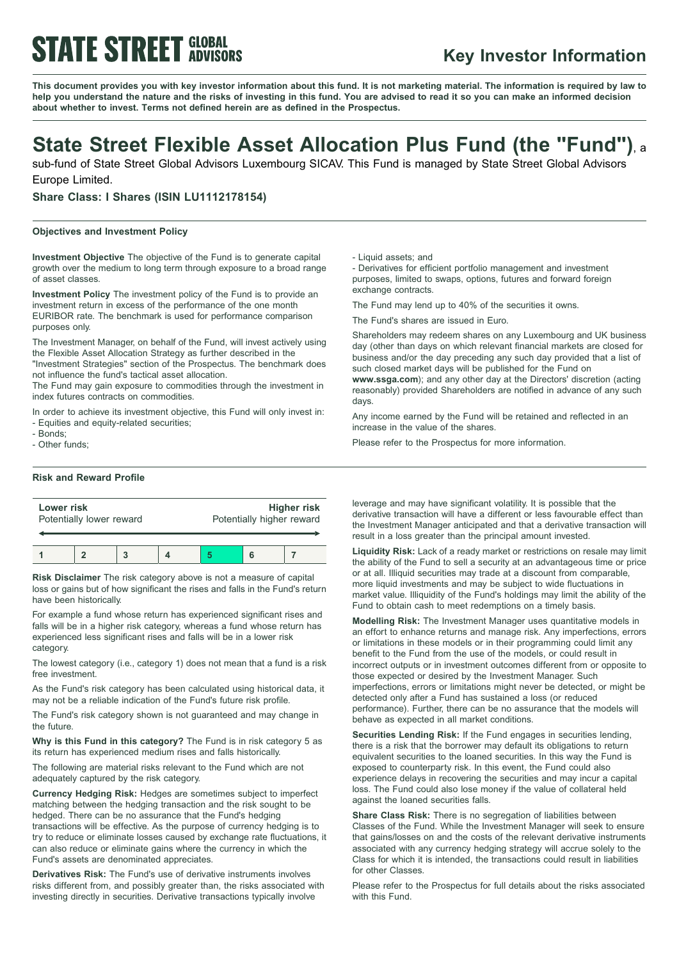# **STATE STREET GLOBAL**

### **Key Investor Information**

This document provides you with key investor information about this fund. It is not marketing material. The information is required by law to help you understand the nature and the risks of investing in this fund. You are advised to read it so you can make an informed decision **about whether to invest. Terms not defined herein are as defined in the Prospectus.**

## **State Street Flexible Asset Allocation Plus Fund (the "Fund")**, <sup>a</sup>

sub-fund of State Street Global Advisors Luxembourg SICAV. This Fund is managed by State Street Global Advisors Europe Limited.

**Share Class: I Shares (ISIN LU1112178154)**

#### **Objectives and Investment Policy**

**Investment Objective** The objective of the Fund is to generate capital growth over the medium to long term through exposure to a broad range of asset classes.

**Investment Policy** The investment policy of the Fund is to provide an investment return in excess of the performance of the one month EURIBOR rate. The benchmark is used for performance comparison purposes only.

The Investment Manager, on behalf of the Fund, will invest actively using the Flexible Asset Allocation Strategy as further described in the "Investment Strategies" section of the Prospectus. The benchmark does not influence the fund's tactical asset allocation.

The Fund may gain exposure to commodities through the investment in index futures contracts on commodities.

In order to achieve its investment objective, this Fund will only invest in: - Equities and equity-related securities;

- Bonds;

- Other funds;

#### **Risk and Reward Profile**

| Lower risk<br>Potentially lower reward |  |  |  | Higher risk<br>Potentially higher reward |  |  |
|----------------------------------------|--|--|--|------------------------------------------|--|--|
|                                        |  |  |  |                                          |  |  |
|                                        |  |  |  |                                          |  |  |

**Risk Disclaimer** The risk category above is not a measure of capital loss or gains but of how significant the rises and falls in the Fund's return have been historically.

For example a fund whose return has experienced significant rises and falls will be in a higher risk category, whereas a fund whose return has experienced less significant rises and falls will be in a lower risk category.

The lowest category (i.e., category 1) does not mean that a fund is a risk free investment.

As the Fund's risk category has been calculated using historical data, it may not be a reliable indication of the Fund's future risk profile.

The Fund's risk category shown is not guaranteed and may change in the future.

**Why is this Fund in this category?** The Fund is in risk category 5 as its return has experienced medium rises and falls historically.

The following are material risks relevant to the Fund which are not adequately captured by the risk category.

**Currency Hedging Risk:** Hedges are sometimes subject to imperfect matching between the hedging transaction and the risk sought to be hedged. There can be no assurance that the Fund's hedging transactions will be effective. As the purpose of currency hedging is to try to reduce or eliminate losses caused by exchange rate fluctuations, it can also reduce or eliminate gains where the currency in which the Fund's assets are denominated appreciates.

**Derivatives Risk:** The Fund's use of derivative instruments involves risks different from, and possibly greater than, the risks associated with investing directly in securities. Derivative transactions typically involve

- Liquid assets; and

- Derivatives for efficient portfolio management and investment purposes, limited to swaps, options, futures and forward foreign exchange contracts.

The Fund may lend up to 40% of the securities it owns.

The Fund's shares are issued in Euro.

Shareholders may redeem shares on any Luxembourg and UK business day (other than days on which relevant financial markets are closed for business and/or the day preceding any such day provided that a list of such closed market days will be published for the Fund on

**www.ssga.com**); and any other day at the Directors' discretion (acting reasonably) provided Shareholders are notified in advance of any such days.

Any income earned by the Fund will be retained and reflected in an increase in the value of the shares.

Please refer to the Prospectus for more information.

leverage and may have significant volatility. It is possible that the derivative transaction will have a different or less favourable effect than the Investment Manager anticipated and that a derivative transaction will result in a loss greater than the principal amount invested.

**Liquidity Risk:** Lack of a ready market or restrictions on resale may limit the ability of the Fund to sell a security at an advantageous time or price or at all. Illiquid securities may trade at a discount from comparable, more liquid investments and may be subject to wide fluctuations in market value. Illiquidity of the Fund's holdings may limit the ability of the Fund to obtain cash to meet redemptions on a timely basis.

**Modelling Risk:** The Investment Manager uses quantitative models in an effort to enhance returns and manage risk. Any imperfections, errors or limitations in these models or in their programming could limit any benefit to the Fund from the use of the models, or could result in incorrect outputs or in investment outcomes different from or opposite to those expected or desired by the Investment Manager. Such imperfections, errors or limitations might never be detected, or might be detected only after a Fund has sustained a loss (or reduced performance). Further, there can be no assurance that the models will behave as expected in all market conditions.

**Securities Lending Risk:** If the Fund engages in securities lending, there is a risk that the borrower may default its obligations to return equivalent securities to the loaned securities. In this way the Fund is exposed to counterparty risk. In this event, the Fund could also experience delays in recovering the securities and may incur a capital loss. The Fund could also lose money if the value of collateral held against the loaned securities falls.

**Share Class Risk:** There is no segregation of liabilities between Classes of the Fund. While the Investment Manager will seek to ensure that gains/losses on and the costs of the relevant derivative instruments associated with any currency hedging strategy will accrue solely to the Class for which it is intended, the transactions could result in liabilities for other Classes.

Please refer to the Prospectus for full details about the risks associated with this Fund.